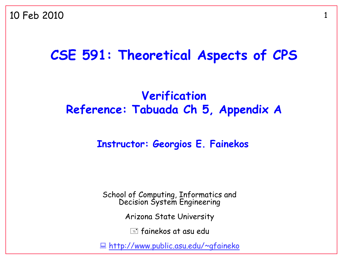### **CSE 591: Theoretical Aspects of CPS**

#### **Verification Reference: Tabuada Ch 5, Appendix A**

#### **Instructor: Georgios E. Fainekos**

School of Computing, Informatics and Decision System Engineering

Arizona State University

 $\equiv$  fainekos at asu edu

<http://www.public.asu.edu/~gfaineko>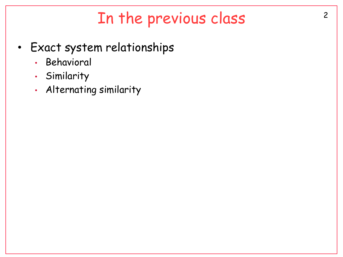# In the previous class 2

- Exact system relationships
	- Behavioral
	- Similarity
	- Alternating similarity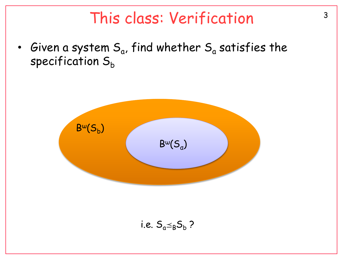## This class: Verification<sup>3</sup>

• Given a system  $\mathsf{S}_{\mathsf{a}}$ , find whether  $\mathsf{S}_{\mathsf{a}}$  satisfies the specification  $S_h$ 

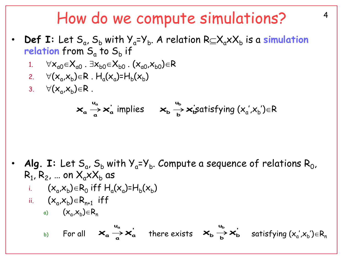#### How do we compute simulations?  $4$

- **Def I:** Let  $S_a$ ,  $S_b$  with  $Y_a = Y_b$ . A relation  $R \subseteq X_a \times X_b$  is a **simulation** relation from S<sub>a</sub> to S<sub>b</sub> if
	- 1.  $\forall x_{00} \in X_{00}$ .  $\exists x_{b0} \in X_{b0}$ .  $(x_{00},x_{b0}) \in R$
	- 2.  $\forall (x_a, x_b) \in R$  .  $H_a(x_a)$ = $H_b(x_b)$
	- 3.  $\forall (x_a, x_b) \in R$ .

$$
\mathbf{x}_{a} \stackrel{u_{a}}{\rightarrow} \mathbf{x}_{a}^{'} \text{ implies } \mathbf{x}_{b} \stackrel{u_{b}}{\rightarrow} \mathbf{x}_{b}^{'} \text{ satisfying } (x_{a}^{'} , x_{b}^{'} ) \in R
$$

• **Alg. I:** Let  $S_a$ ,  $S_b$  with  $Y_a = Y_b$ . Compute a sequence of relations  $R_0$ ,  $\mathsf{R}_1$ ,  $\mathsf{R}_2$ , ... on  $\mathsf{X}_{\mathsf{a}} \mathsf{x} \mathsf{X}_{\mathsf{b}}$  as i.  $(x_a,x_b) \in R_0$  iff  $H_a(x_a)$ = $H_b(x_b)$ 

ii. 
$$
(x_a, x_b) \in R_{n+1}
$$
 iff

$$
a) \qquad (x_a, x_b) \in R_n
$$

b) For all  $\mathsf{x}_a \overset{\frown}{\to} \mathsf{x}_a'$  there exists  $\mathsf{x}_b \overset{\frown}{\to} \mathsf{x}_b'$  satisfying  $(x_a',x_b') \in R_n$ **u**  $\mathbf{x}_a \stackrel{u_a}{\rightarrow} \mathbf{x}_a'$  there exists  $\mathbf{x}_b \stackrel{u_b}{\rightarrow} \mathbf{x}_b'$ **u**  $\mathsf{x}_{\mathsf{b}} \xrightarrow[\mathsf{b}]{\mathsf{u}_{\mathsf{b}}} \mathsf{x}$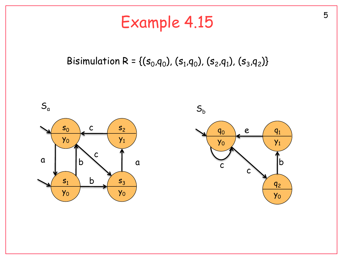# Example 4.15

#### Bisimulation R = {( $s_0$ , $q_0$ ), ( $s_1$ , $q_0$ ), ( $s_2$ , $q_1$ ), ( $s_3$ , $q_2$ )}

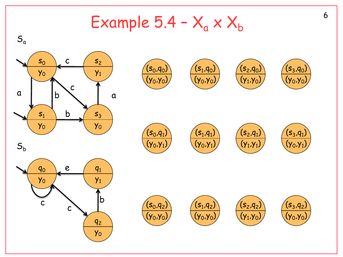Example  $5.4 - X_a \times X_b$ 



6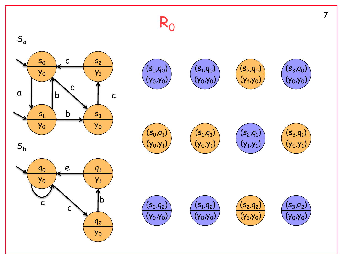# R 0

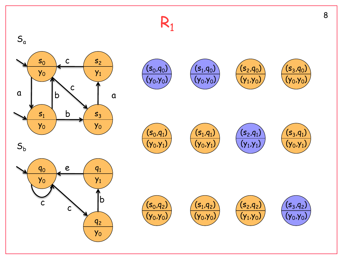# R<sub>1</sub>





 $({\sf s}_{{\sf o}}, {\sf q}_{{\sf 1}})$ 

 $({\sf y}_0,{\sf y}_1)$ 







 $(\mathsf{s}_1\!,\!\mathsf{q}_1)$  $({\sf y}_0,{\sf y}_1)$ 









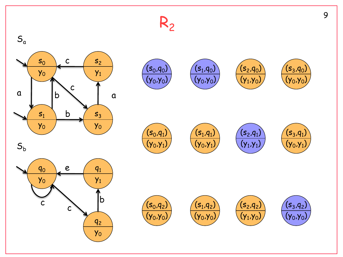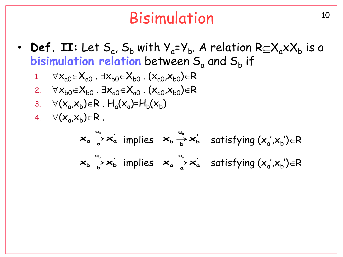## Bisimulation 10

• **Def. II:** Let  $S_a$ ,  $S_b$  with  $Y_a = Y_b$ . A relation  $R \subseteq X_a \times X_b$  is a bisimulation relation between S<sub>a</sub> and S<sub>b</sub> if

1. 
$$
\forall x_{a0} \in X_{a0} \ . \ \exists x_{b0} \in X_{b0} \ . \ (x_{a0}, x_{b0}) \in R
$$

- 2.  $\forall x_{b0} \in X_{b0}$ .  $\exists x_{a0} \in X_{a0}$ .  $(x_{a0},x_{b0}) \in R$
- 3.  $\forall (x_a, x_b) \in R$ .  $H_a(x_a) = H_b(x_b)$
- 4.  $\forall (x_a, x_b) \in R$ .

$$
\mathbf{x}_{a} \stackrel{u_{a}}{\rightarrow} \mathbf{x}_{a}^{'} \text{ implies } \mathbf{x}_{b} \stackrel{u_{b}}{\rightarrow} \mathbf{x}_{b}^{'} \text{ satisfying } (\mathbf{x}_{a}^{'} , \mathbf{x}_{b}^{'}) \in R
$$
\n
$$
\mathbf{x}_{b} \stackrel{u_{b}}{\rightarrow} \mathbf{x}_{b}^{'} \text{ implies } \mathbf{x}_{a} \stackrel{u_{a}}{\rightarrow} \mathbf{x}_{a}^{'} \text{ satisfying } (\mathbf{x}_{a}^{'} , \mathbf{x}_{b}^{'} ) \in R
$$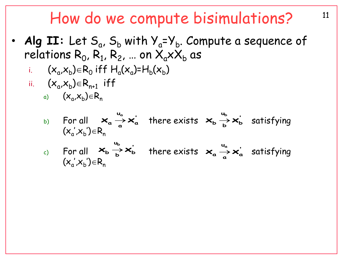### How do we compute bisimulations?  $11$

- Alg II: Let S<sub>a</sub>, S<sub>b</sub> with Y<sub>a</sub>=Y<sub>b</sub>. Compute a sequence of relations  $\mathsf{R}_{0}$ ,  $\mathsf{R}_{1}$ ,  $\mathsf{R}_{2}$ , ... on  $\mathsf{X}_{\mathsf{a}}\mathsf{x}\mathsf{X}_{\mathsf{b}}$  as
	- i.  $(x_a x_b) \in R_0$  iff  $H_a(x_a)$ = $H_b(x_b)$
	- ii.  $(x_a x_b) \in R_{n+1}$  iff
		- a)  $(x_a^{},x_b^{}) \in R_n$

b) For all 
$$
\mathbf{x}_a \stackrel{u_a}{\rightarrow} \mathbf{x}_a'
$$
 there exists  $\mathbf{x}_b \stackrel{u_b}{\rightarrow} \mathbf{x}_b'$  satisfying  
\n(c) For all  $\mathbf{x}_b \stackrel{u_b}{\rightarrow} \mathbf{x}_b'$  there exists  $\mathbf{x}_a \stackrel{u_a}{\rightarrow} \mathbf{x}_a'$  satisfying  
\n $(x_a', x_b') \in R_n$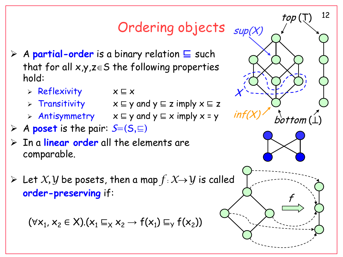## Ordering objects <sub>sup(X)</sub>

- A **partial-order** is a binary relation ⊑ such that for all  $x,y,z\in S$  the following properties hold:
	- Reflexivity x ⊑ x
	- Transitivity x ⊑ y and y ⊑ z imply x ⊑ z
	- Antisymmetry x ⊑ y and y ⊑ x imply x = y
- A **poset** is the pair: S=(S,⊑)
- In a **linear order** all the elements are comparable.
- $\triangleright$  Let *X*, *Y* be posets, then a map  $f: X \rightarrow Y$  is called order-preserving if:

$$
(\forall x_1, x_2 \in X). (x_1 \sqsubseteq_X x_2 \rightarrow f(x_1) \sqsubseteq_Y f(x_2))
$$



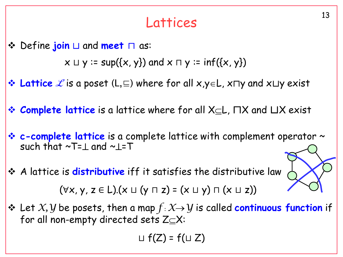# <sup>13</sup> Lattices

Define **join** ⊔ and **meet** ⊓ as:

 $x \sqcup y$  := sup({x, y}) and  $x \sqcap y$  := inf({x, y})

- **Lattice** *L* is a poset (L, ⊑) where for all x,y ∈L, x $\sqcap$ y and x $\sqcup$ y exist
- **Examplete lattice** is a lattice where for all X<sub>⊆</sub>L, ∏X and ∐X exist
- **E** c-complete lattice is a complete lattice with complement operator ~ such that  $\sim$ T= $\perp$  and  $\sim$  $\perp$ =T
- A lattice is **distributive** iff it satisfies the distributive law (∀x, y, z ∈ L).(x ⊔ (y ⊓ z) = (x ⊔ y) ⊓ (x ⊔ z))
- Let *X,Y* be posets, then a map *f* : *XY* is called **continuous function** if for all non-empty directed sets  $Z \subseteq X$ :

$$
\sqcup f(Z) = f(\sqcup Z)
$$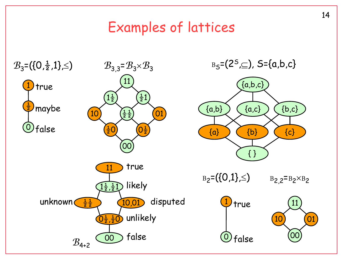## Examples of lattices

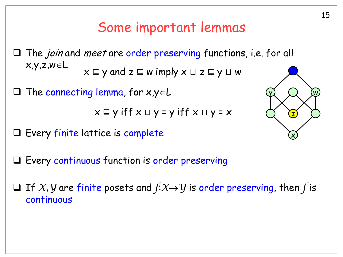## Some important lemmas

 $\Box$  The *join* and *meet* are order preserving functions, i.e. for all  $x,y,z,w \in L$ x ⊑ y and z ⊑ w imply x ⊔ z ⊑ y ⊔ w

 $\Box$  The connecting lemma, for  $x,y \in L$ 

$$
x \sqsubseteq y \text{ iff } x \sqcup y = y \text{ iff } x \sqcap y = x
$$

 $\Box$  Every finite lattice is complete



 $\Box$  If *X*, *Y* are finite posets and  $f: X \rightarrow Y$  is order preserving, then *f* is continuous

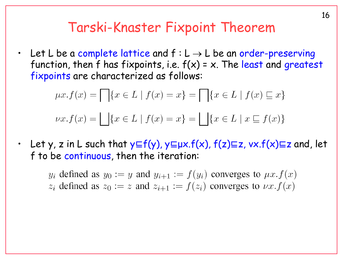#### Tarski-Knaster Fixpoint Theorem

Let L be a complete lattice and  $f: L \to L$  be an order-preserving function, then f has fixpoints, i.e.  $f(x) = x$ . The least and greatest fixpoints are characterized as follows:

$$
\mu x. f(x) = \prod \{ x \in L \mid f(x) = x \} = \prod \{ x \in L \mid f(x) \sqsubseteq x \}
$$

$$
\nu x. f(x) = \prod \{ x \in L \mid f(x) = x \} = \prod \{ x \in L \mid x \sqsubseteq f(x) \}
$$

Let y, z in L such that  $y \in f(y)$ ,  $y \in \mu x.f(x)$ ,  $f(z) \in z$ ,  $vx.f(x) \in z$  and, let f to be continuous, then the iteration:

 $y_i$  defined as  $y_0 := y$  and  $y_{i+1} := f(y_i)$  converges to  $\mu x.f(x)$  $z_i$  defined as  $z_0 := z$  and  $z_{i+1} := f(z_i)$  converges to  $\nu x.f(x)$